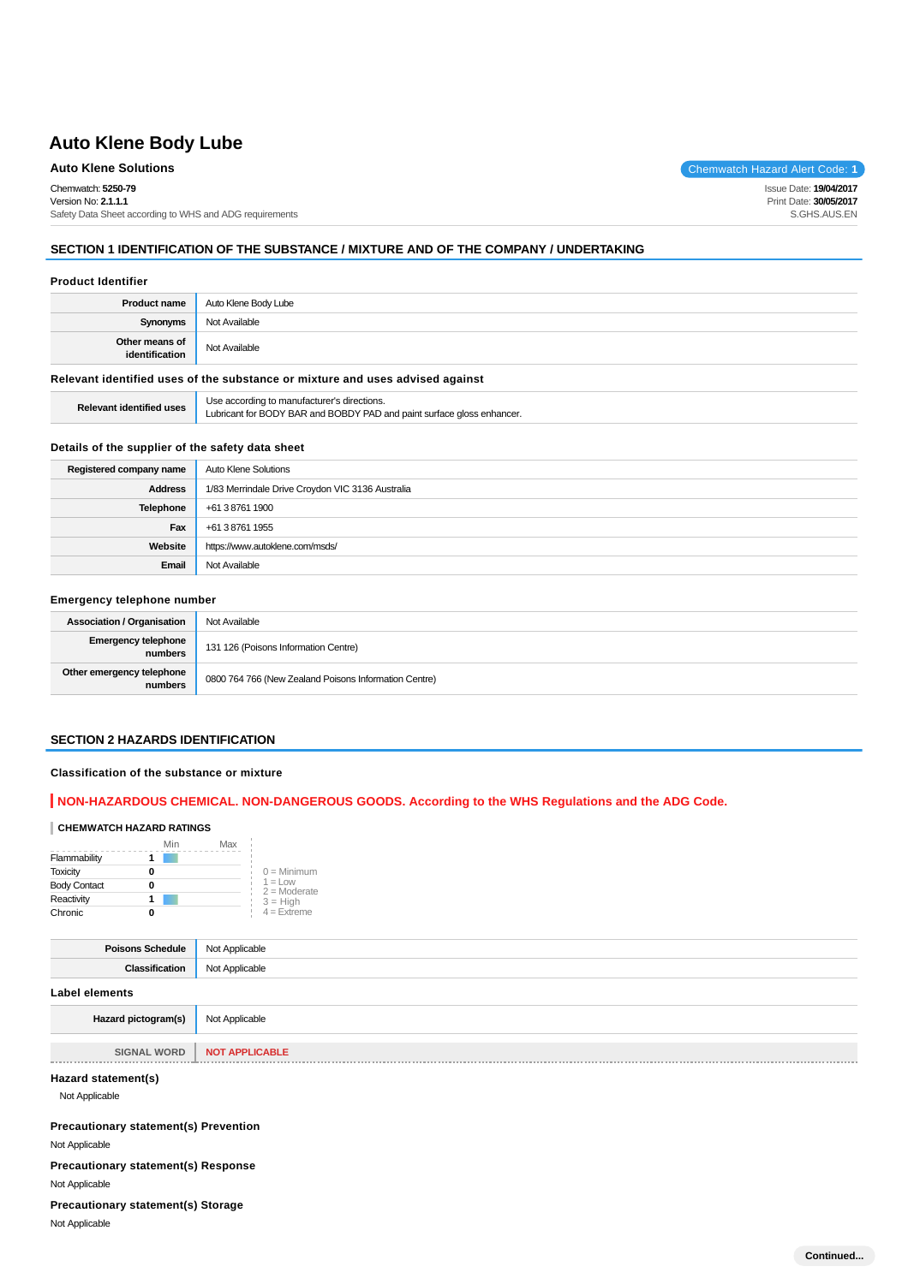# **Auto Klene Body Lube**

## **Auto Klene Solutions** Chemwatch Hazard Alert Code: 1

Chemwatch: **5250-79**

Version No: **2.1.1.1** Safety Data Sheet according to WHS and ADG requirements

## **SECTION 1 IDENTIFICATION OF THE SUBSTANCE / MIXTURE AND OF THE COMPANY / UNDERTAKING**

### **Product Identifier**

| <b>Product name</b>              | Auto Klene Body Lube |
|----------------------------------|----------------------|
| Synonyms                         | Not Available        |
| Other means of<br>identification | Not Available        |
|                                  |                      |

## **Relevant identified uses of the substance or mixture and uses advised against**

| <b>Relevant identified uses</b> | Use according to manufacturer's directions.<br>Lubricant for BODY BAR and BOBDY PAD and paint surface gloss enhancer. |
|---------------------------------|-----------------------------------------------------------------------------------------------------------------------|
|---------------------------------|-----------------------------------------------------------------------------------------------------------------------|

### **Details of the supplier of the safety data sheet**

| Registered company name | Auto Klene Solutions                             |
|-------------------------|--------------------------------------------------|
| <b>Address</b>          | 1/83 Merrindale Drive Croydon VIC 3136 Australia |
| Telephone               | +61 3 8761 1900                                  |
| Fax                     | +61 3 8761 1955                                  |
| Website                 | https://www.autoklene.com/msds/                  |
| Email                   | Not Available                                    |

### **Emergency telephone number**

| <b>Association / Organisation</b>     | Not Available                                         |
|---------------------------------------|-------------------------------------------------------|
| <b>Emergency telephone</b><br>numbers | 131 126 (Poisons Information Centre)                  |
| Other emergency telephone<br>numbers  | 0800 764 766 (New Zealand Poisons Information Centre) |

### **SECTION 2 HAZARDS IDENTIFICATION**

### **Classification of the substance or mixture**

## **NON-HAZARDOUS CHEMICAL. NON-DANGEROUS GOODS. According to the WHS Regulations and the ADG Code.**

### **CHEMWATCH HAZARD RATINGS**

|                     | Min | Max |                              |
|---------------------|-----|-----|------------------------------|
| Flammability        |     |     |                              |
| <b>Toxicity</b>     |     |     | $0 =$ Minimum                |
| <b>Body Contact</b> |     |     | $1 = 1$ ow<br>$2 =$ Moderate |
| Reactivity          |     |     | $3 = High$                   |
| Chronic             |     |     | $4 =$ Extreme                |

| <b>Poisons Schedule</b> Not Applicable |                |
|----------------------------------------|----------------|
| Classification                         | Not Applicable |
| <b>Label elements</b>                  |                |
| Hazard pictogram(s)                    | Not Applicable |
|                                        |                |

**SIGNAL WORD NOT APPLICABLE** 

### **Hazard statement(s)**

Not Applicable

**Precautionary statement(s) Prevention**

Not Applicable

**Precautionary statement(s) Response**

Not Applicable

**Precautionary statement(s) Storage**

Not Applicable

Issue Date: **19/04/2017** Print Date: **30/05/2017** S.GHS.AUS.EN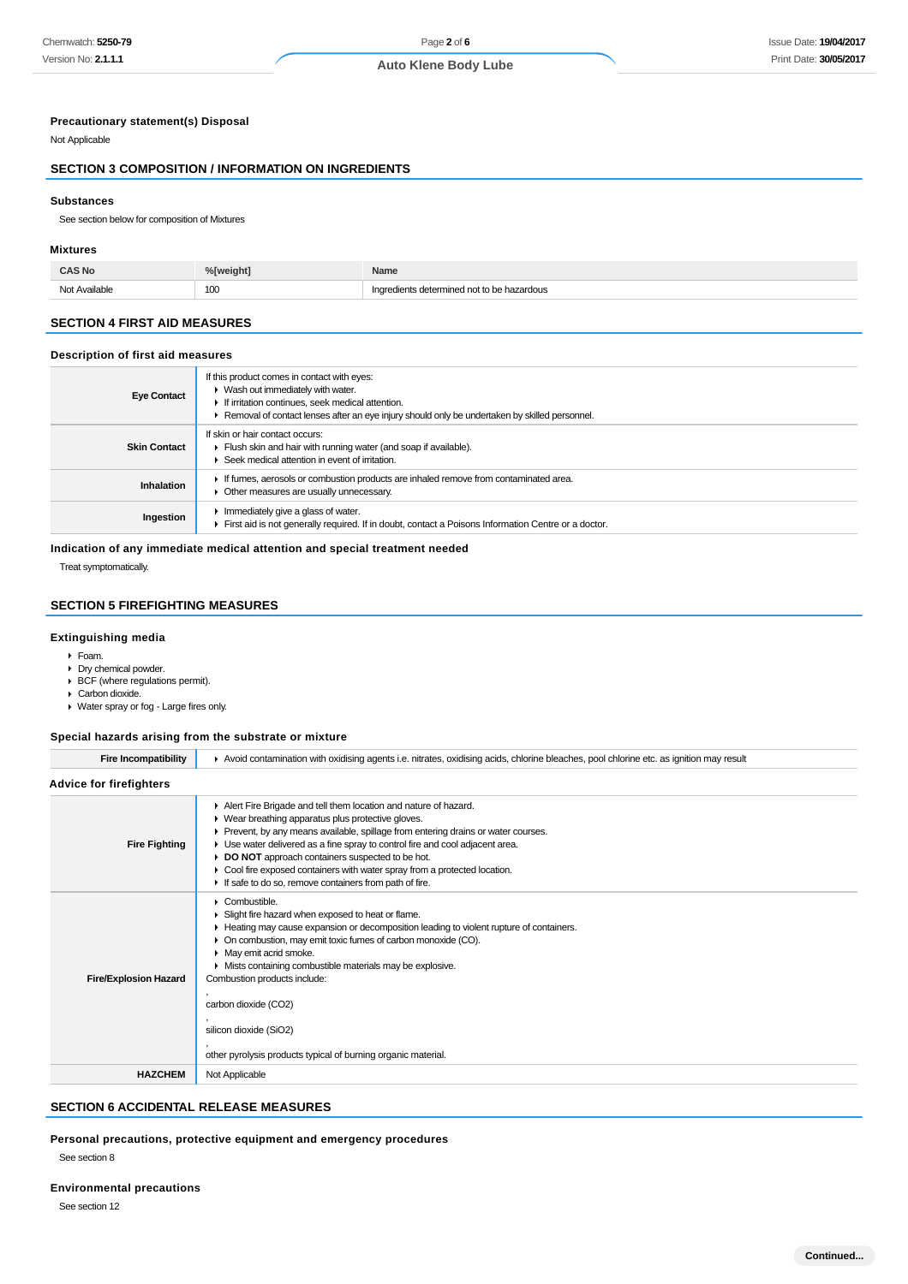## **Precautionary statement(s) Disposal**

Not Applicable

## **SECTION 3 COMPOSITION / INFORMATION ON INGREDIENTS**

### **Substances**

See section below for composition of Mixtures

### **Mixtures**

| S No               | <sup>24</sup> Tweight | <b>Name</b>                                    |
|--------------------|-----------------------|------------------------------------------------|
| Not Avoilable<br>. | 100                   | dotorminad<br>i not to be<br>dous<br>m÷n.<br>. |

## **SECTION 4 FIRST AID MEASURES**

### **Description of first aid measures**

| <b>Eye Contact</b>  | If this product comes in contact with eyes:<br>$\blacktriangleright$ Wash out immediately with water.<br>If irritation continues, seek medical attention.<br>► Removal of contact lenses after an eye injury should only be undertaken by skilled personnel. |
|---------------------|--------------------------------------------------------------------------------------------------------------------------------------------------------------------------------------------------------------------------------------------------------------|
| <b>Skin Contact</b> | If skin or hair contact occurs:<br>Fiush skin and hair with running water (and soap if available).<br>$\blacktriangleright$ Seek medical attention in event of irritation.                                                                                   |
| <b>Inhalation</b>   | If fumes, aerosols or combustion products are inhaled remove from contaminated area.<br>• Other measures are usually unnecessary.                                                                                                                            |
| Ingestion           | Immediately give a glass of water.<br>First aid is not generally required. If in doubt, contact a Poisons Information Centre or a doctor.                                                                                                                    |

### **Indication of any immediate medical attention and special treatment needed**

Treat symptomatically.

## **SECTION 5 FIREFIGHTING MEASURES**

### **Extinguishing media**

- Foam.
- Dry chemical powder.
- BCF (where regulations permit).
- ▶ Carbon dioxide.
- Water spray or fog Large fires only.

### **Special hazards arising from the substrate or mixture**

| <b>Fire Incompatibility</b>    | Avoid contamination with oxidising agents i.e. nitrates, oxidising acids, chlorine bleaches, pool chlorine etc. as ignition may result                                                                                                                                                                                                                                                                                                                                                     |
|--------------------------------|--------------------------------------------------------------------------------------------------------------------------------------------------------------------------------------------------------------------------------------------------------------------------------------------------------------------------------------------------------------------------------------------------------------------------------------------------------------------------------------------|
| <b>Advice for firefighters</b> |                                                                                                                                                                                                                                                                                                                                                                                                                                                                                            |
| <b>Fire Fighting</b>           | Alert Fire Brigade and tell them location and nature of hazard.<br>▶ Wear breathing apparatus plus protective gloves.<br>► Prevent, by any means available, spillage from entering drains or water courses.<br>► Use water delivered as a fine spray to control fire and cool adjacent area.<br>DO NOT approach containers suspected to be hot.<br>Cool fire exposed containers with water spray from a protected location.<br>If safe to do so, remove containers from path of fire.      |
| <b>Fire/Explosion Hazard</b>   | $\triangleright$ Combustible.<br>Slight fire hazard when exposed to heat or flame.<br>► Heating may cause expansion or decomposition leading to violent rupture of containers.<br>• On combustion, may emit toxic fumes of carbon monoxide (CO).<br>• May emit acrid smoke.<br>Mists containing combustible materials may be explosive.<br>Combustion products include:<br>carbon dioxide (CO2)<br>silicon dioxide (SiO2)<br>other pyrolysis products typical of burning organic material. |
| <b>HAZCHEM</b>                 | Not Applicable                                                                                                                                                                                                                                                                                                                                                                                                                                                                             |
|                                |                                                                                                                                                                                                                                                                                                                                                                                                                                                                                            |

## **SECTION 6 ACCIDENTAL RELEASE MEASURES**

## **Personal precautions, protective equipment and emergency procedures**

See section 8

### **Environmental precautions**

See section 12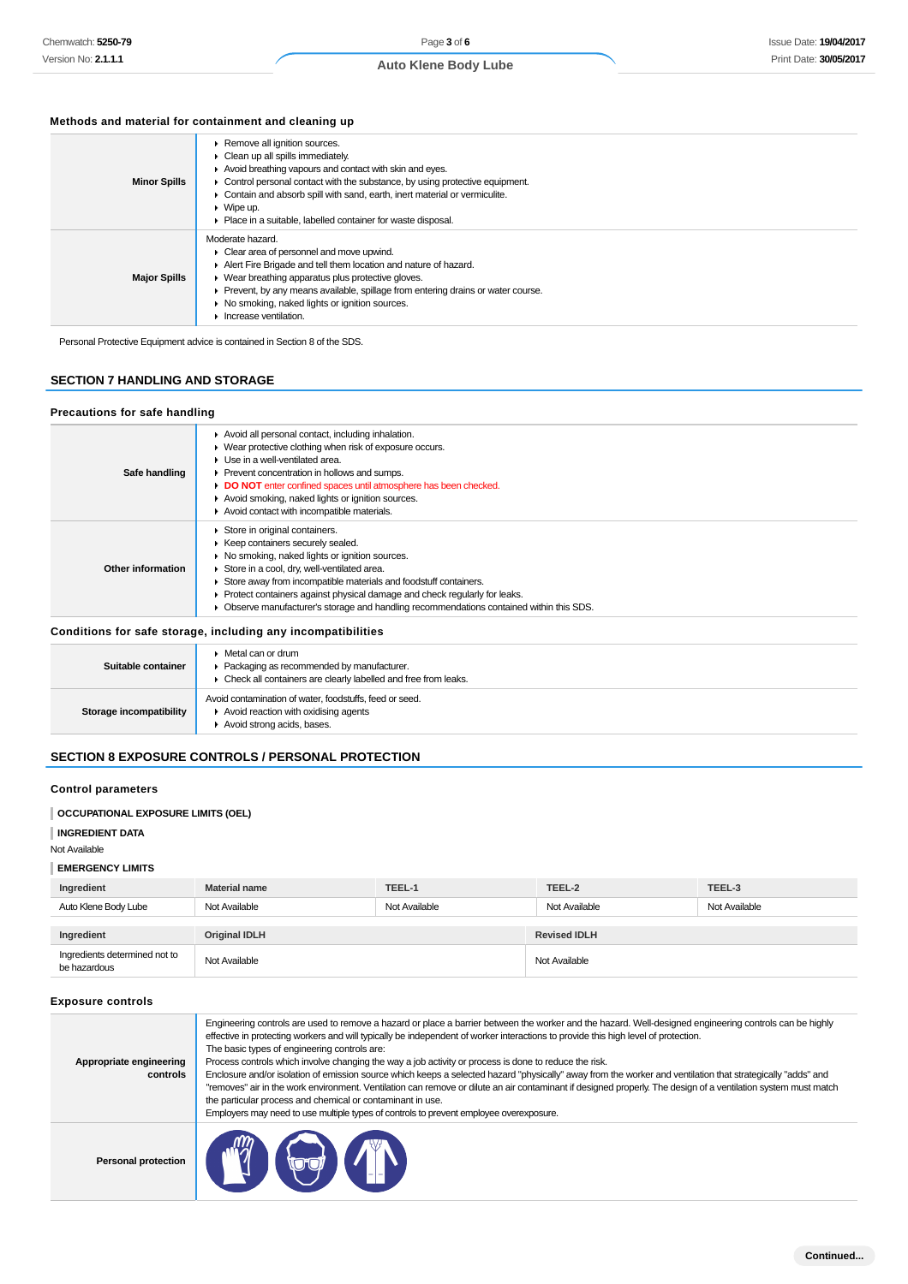## **Auto Klene Body Lube**

## **Methods and material for containment and cleaning up**

| <b>Minor Spills</b> | ▶ Remove all ignition sources.<br>Clean up all spills immediately.<br>Avoid breathing vapours and contact with skin and eyes.<br>• Control personal contact with the substance, by using protective equipment.<br>Contain and absorb spill with sand, earth, inert material or vermiculite.<br>$\triangleright$ Wipe up.<br>• Place in a suitable, labelled container for waste disposal. |
|---------------------|-------------------------------------------------------------------------------------------------------------------------------------------------------------------------------------------------------------------------------------------------------------------------------------------------------------------------------------------------------------------------------------------|
| <b>Major Spills</b> | Moderate hazard.<br>• Clear area of personnel and move upwind.<br>Alert Fire Brigade and tell them location and nature of hazard.<br>• Wear breathing apparatus plus protective gloves.<br>• Prevent, by any means available, spillage from entering drains or water course.<br>▶ No smoking, naked lights or ignition sources.<br>Increase ventilation.                                  |

Personal Protective Equipment advice is contained in Section 8 of the SDS.

## **SECTION 7 HANDLING AND STORAGE**

## **Precautions for safe handling**

| Safe handling      | Avoid all personal contact, including inhalation.<br>• Wear protective clothing when risk of exposure occurs.<br>Use in a well-ventilated area.<br>Prevent concentration in hollows and sumps.<br>DO NOT enter confined spaces until atmosphere has been checked.<br>Avoid smoking, naked lights or ignition sources.<br>Avoid contact with incompatible materials.                                                |
|--------------------|--------------------------------------------------------------------------------------------------------------------------------------------------------------------------------------------------------------------------------------------------------------------------------------------------------------------------------------------------------------------------------------------------------------------|
| Other information  | Store in original containers.<br>▶ Keep containers securely sealed.<br>▶ No smoking, naked lights or ignition sources.<br>Store in a cool, dry, well-ventilated area.<br>Store away from incompatible materials and foodstuff containers.<br>• Protect containers against physical damage and check regularly for leaks.<br>Observe manufacturer's storage and handling recommendations contained within this SDS. |
|                    | Conditions for safe storage, including any incompatibilities                                                                                                                                                                                                                                                                                                                                                       |
| Suitable container | Metal can or drum<br>• Packaging as recommended by manufacturer.                                                                                                                                                                                                                                                                                                                                                   |

| Suitable container      | $\blacktriangleright$ Metal can or drum<br>• Packaging as recommended by manufacturer.<br>• Check all containers are clearly labelled and free from leaks. |
|-------------------------|------------------------------------------------------------------------------------------------------------------------------------------------------------|
| Storage incompatibility | Avoid contamination of water, foodstuffs, feed or seed.<br>$\blacktriangleright$ Avoid reaction with oxidising agents<br>Avoid strong acids, bases.        |

## **SECTION 8 EXPOSURE CONTROLS / PERSONAL PROTECTION**

## **Control parameters**

## **OCCUPATIONAL EXPOSURE LIMITS (OEL)**

**INGREDIENT DATA**

Not Available

### **EMERGENCY LIMITS**

| Ingredient           | <b>Material name</b> | TEEL-1        | TEEL-2              | TEEL-3        |
|----------------------|----------------------|---------------|---------------------|---------------|
| Auto Klene Body Lube | Not Available        | Not Available | Not Available       | Not Available |
|                      |                      |               |                     |               |
| Ingredient           | <b>Original IDLH</b> |               | <b>Revised IDLH</b> |               |
|                      |                      |               |                     |               |

### **Exposure controls**

| Appropriate engineering<br>controls | Engineering controls are used to remove a hazard or place a barrier between the worker and the hazard. Well-designed engineering controls can be highly<br>effective in protecting workers and will typically be independent of worker interactions to provide this high level of protection.<br>The basic types of engineering controls are:<br>Process controls which involve changing the way a job activity or process is done to reduce the risk.<br>Enclosure and/or isolation of emission source which keeps a selected hazard "physically" away from the worker and ventilation that strategically "adds" and<br>"removes" air in the work environment. Ventilation can remove or dilute an air contaminant if designed properly. The design of a ventilation system must match<br>the particular process and chemical or contaminant in use.<br>Employers may need to use multiple types of controls to prevent employee overexposure. |
|-------------------------------------|-------------------------------------------------------------------------------------------------------------------------------------------------------------------------------------------------------------------------------------------------------------------------------------------------------------------------------------------------------------------------------------------------------------------------------------------------------------------------------------------------------------------------------------------------------------------------------------------------------------------------------------------------------------------------------------------------------------------------------------------------------------------------------------------------------------------------------------------------------------------------------------------------------------------------------------------------|
| <b>Personal protection</b>          | <b>MY GJI</b>                                                                                                                                                                                                                                                                                                                                                                                                                                                                                                                                                                                                                                                                                                                                                                                                                                                                                                                                   |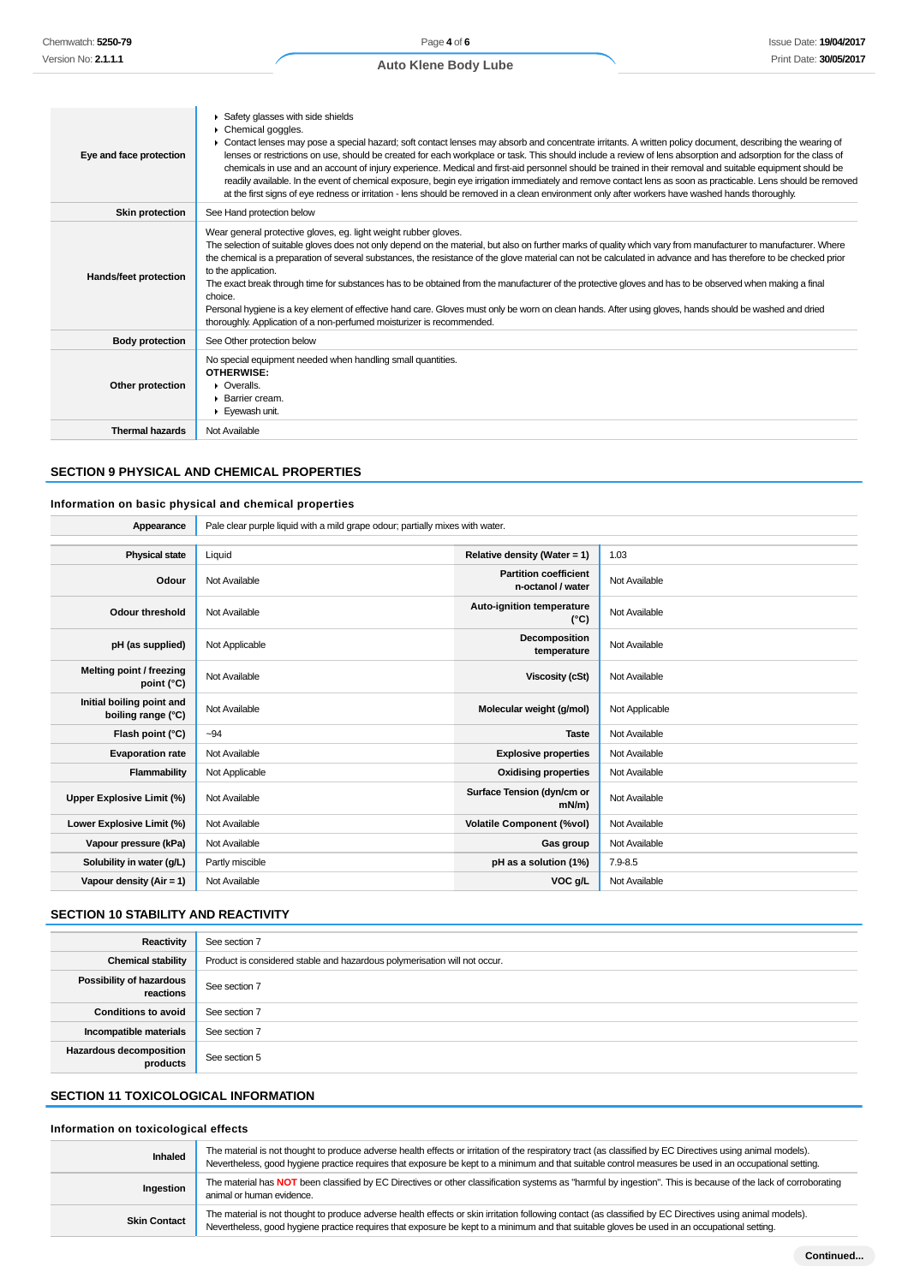| Eye and face protection | ▶ Safety glasses with side shields<br>$\triangleright$ Chemical goggles.<br>Contact lenses may pose a special hazard; soft contact lenses may absorb and concentrate irritants. A written policy document, describing the wearing of<br>lenses or restrictions on use, should be created for each workplace or task. This should include a review of lens absorption and adsorption for the class of<br>chemicals in use and an account of injury experience. Medical and first-aid personnel should be trained in their removal and suitable equipment should be<br>readily available. In the event of chemical exposure, begin eye irrigation immediately and remove contact lens as soon as practicable. Lens should be removed<br>at the first signs of eye redness or irritation - lens should be removed in a clean environment only after workers have washed hands thoroughly. |
|-------------------------|----------------------------------------------------------------------------------------------------------------------------------------------------------------------------------------------------------------------------------------------------------------------------------------------------------------------------------------------------------------------------------------------------------------------------------------------------------------------------------------------------------------------------------------------------------------------------------------------------------------------------------------------------------------------------------------------------------------------------------------------------------------------------------------------------------------------------------------------------------------------------------------|
| <b>Skin protection</b>  | See Hand protection below                                                                                                                                                                                                                                                                                                                                                                                                                                                                                                                                                                                                                                                                                                                                                                                                                                                              |
| Hands/feet protection   | Wear general protective gloves, eg. light weight rubber gloves.<br>The selection of suitable gloves does not only depend on the material, but also on further marks of quality which vary from manufacturer to manufacturer. Where<br>the chemical is a preparation of several substances, the resistance of the glove material can not be calculated in advance and has therefore to be checked prior<br>to the application.<br>The exact break through time for substances has to be obtained from the manufacturer of the protective gloves and has to be observed when making a final<br>choice.<br>Personal hygiene is a key element of effective hand care. Gloves must only be worn on clean hands. After using gloves, hands should be washed and dried<br>thoroughly. Application of a non-perfumed moisturizer is recommended.                                               |
| <b>Body protection</b>  | See Other protection below                                                                                                                                                                                                                                                                                                                                                                                                                                                                                                                                                                                                                                                                                                                                                                                                                                                             |
| Other protection        | No special equipment needed when handling small quantities.<br>OTHERWISE:<br>$\triangleright$ Overalls.<br>$\blacktriangleright$ Barrier cream.<br>$\blacktriangleright$ Evewash unit.                                                                                                                                                                                                                                                                                                                                                                                                                                                                                                                                                                                                                                                                                                 |
| <b>Thermal hazards</b>  | Not Available                                                                                                                                                                                                                                                                                                                                                                                                                                                                                                                                                                                                                                                                                                                                                                                                                                                                          |

### **SECTION 9 PHYSICAL AND CHEMICAL PROPERTIES**

### **Information on basic physical and chemical properties**

| Appearance                                      | Pale clear purple liquid with a mild grape odour; partially mixes with water. |                                                   |                |
|-------------------------------------------------|-------------------------------------------------------------------------------|---------------------------------------------------|----------------|
|                                                 |                                                                               |                                                   |                |
| <b>Physical state</b>                           | Liquid                                                                        | Relative density (Water = 1)                      | 1.03           |
| Odour                                           | Not Available                                                                 | <b>Partition coefficient</b><br>n-octanol / water | Not Available  |
| <b>Odour threshold</b>                          | Not Available                                                                 | Auto-ignition temperature<br>$(^{\circ}C)$        | Not Available  |
| pH (as supplied)                                | Not Applicable                                                                | Decomposition<br>temperature                      | Not Available  |
| Melting point / freezing<br>point (°C)          | Not Available                                                                 | <b>Viscosity (cSt)</b>                            | Not Available  |
| Initial boiling point and<br>boiling range (°C) | Not Available                                                                 | Molecular weight (g/mol)                          | Not Applicable |
| Flash point (°C)                                | $-94$                                                                         | <b>Taste</b>                                      | Not Available  |
| <b>Evaporation rate</b>                         | Not Available                                                                 | <b>Explosive properties</b>                       | Not Available  |
| Flammability                                    | Not Applicable                                                                | <b>Oxidising properties</b>                       | Not Available  |
| <b>Upper Explosive Limit (%)</b>                | Not Available                                                                 | Surface Tension (dyn/cm or<br>$mN/m$ )            | Not Available  |
| Lower Explosive Limit (%)                       | Not Available                                                                 | <b>Volatile Component (%vol)</b>                  | Not Available  |
| Vapour pressure (kPa)                           | Not Available                                                                 | Gas group                                         | Not Available  |
| Solubility in water (g/L)                       | Partly miscible                                                               | pH as a solution (1%)                             | 7.9-8.5        |
| Vapour density ( $Air = 1$ )                    | Not Available                                                                 | VOC g/L                                           | Not Available  |

## **SECTION 10 STABILITY AND REACTIVITY**

| Reactivity                                 | See section 7                                                             |
|--------------------------------------------|---------------------------------------------------------------------------|
| <b>Chemical stability</b>                  | Product is considered stable and hazardous polymerisation will not occur. |
| Possibility of hazardous<br>reactions      | See section 7                                                             |
| <b>Conditions to avoid</b>                 | See section 7                                                             |
| Incompatible materials                     | See section 7                                                             |
| <b>Hazardous decomposition</b><br>products | See section 5                                                             |

## **SECTION 11 TOXICOLOGICAL INFORMATION**

## **Information on toxicological effects**

| Inhaled             | The material is not thought to produce adverse health effects or irritation of the respiratory tract (as classified by EC Directives using animal models).<br>Nevertheless, good hygiene practice requires that exposure be kept to a minimum and that suitable control measures be used in an occupational setting. |
|---------------------|----------------------------------------------------------------------------------------------------------------------------------------------------------------------------------------------------------------------------------------------------------------------------------------------------------------------|
| Ingestion           | The material has NOT been classified by EC Directives or other classification systems as "harmful by ingestion". This is because of the lack of corroborating<br>animal or human evidence.                                                                                                                           |
| <b>Skin Contact</b> | The material is not thought to produce adverse health effects or skin irritation following contact (as classified by EC Directives using animal models).<br>Nevertheless, good hygiene practice requires that exposure be kept to a minimum and that suitable gloves be used in an occupational setting.             |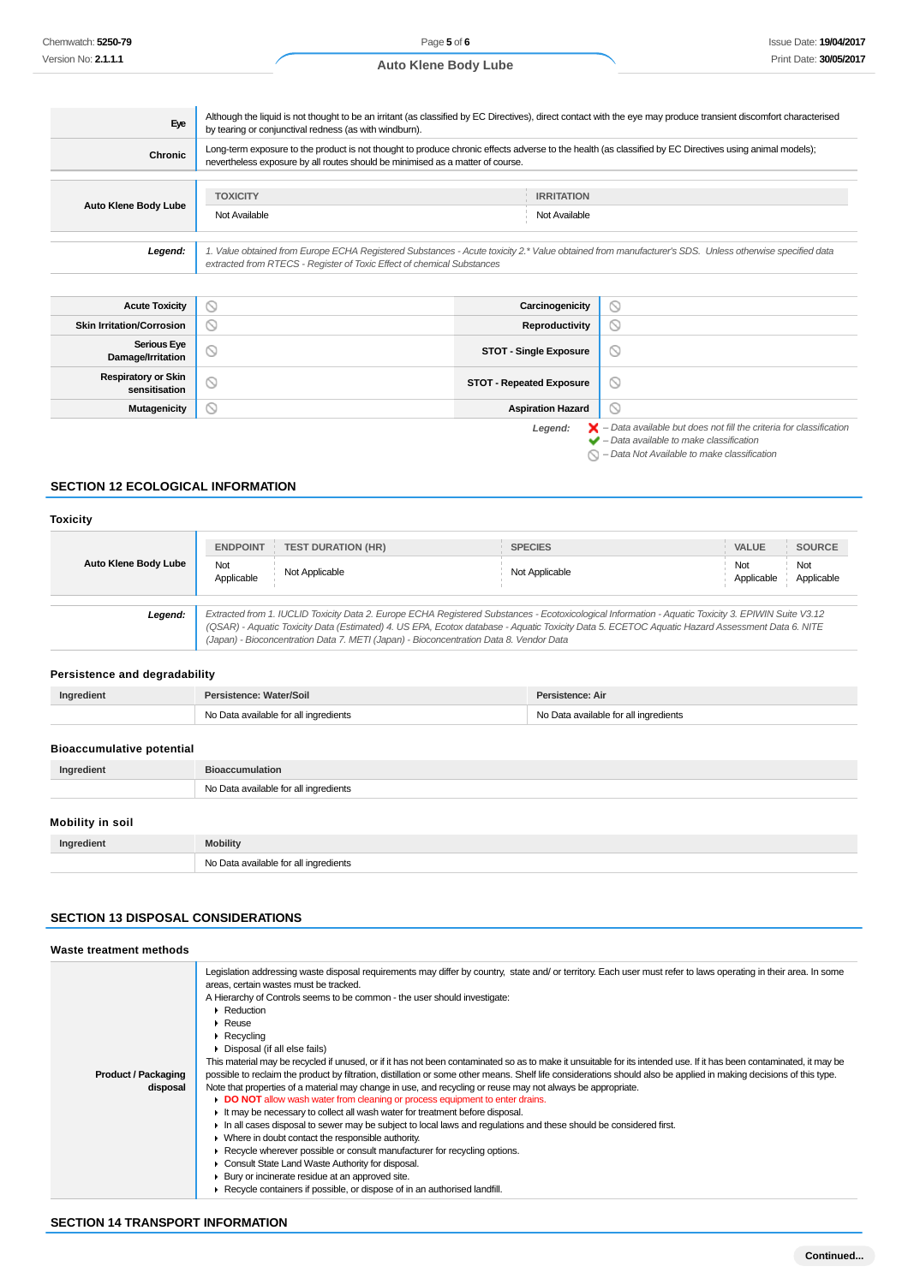|  | <b>Auto Klene Body Lube</b> |  |  |
|--|-----------------------------|--|--|
|--|-----------------------------|--|--|

| Eye                  | Although the liquid is not thought to be an irritant (as classified by EC Directives), direct contact with the eye may produce transient discomfort characterised<br>by tearing or conjunctival redness (as with windburn).               |                                    |  |
|----------------------|-------------------------------------------------------------------------------------------------------------------------------------------------------------------------------------------------------------------------------------------|------------------------------------|--|
| Chronic              | Long-term exposure to the product is not thought to produce chronic effects adverse to the health (as classified by EC Directives using animal models);<br>nevertheless exposure by all routes should be minimised as a matter of course. |                                    |  |
| Auto Klene Body Lube | <b>TOXICITY</b><br>Not Available                                                                                                                                                                                                          | <b>IRRITATION</b><br>Not Available |  |
| Legend:              | 1. Value obtained from Europe ECHA Registered Substances - Acute toxicity 2.* Value obtained from manufacturer's SDS. Unless otherwise specified data<br>extracted from RTECS - Register of Toxic Effect of chemical Substances           |                                    |  |
|                      |                                                                                                                                                                                                                                           |                                    |  |

| <b>Acute Toxicity</b>                       | Y | Carcinogenicity                 | $\circlearrowright$                                                                           |
|---------------------------------------------|---|---------------------------------|-----------------------------------------------------------------------------------------------|
| <b>Skin Irritation/Corrosion</b>            | N | Reproductivity                  | $\circ$                                                                                       |
| <b>Serious Eye</b><br>Damage/Irritation     | ∾ | <b>STOT - Single Exposure</b>   | $\circ$                                                                                       |
| <b>Respiratory or Skin</b><br>sensitisation | ◡ | <b>STOT - Repeated Exposure</b> | $\circ$                                                                                       |
| Mutagenicity                                |   | <b>Aspiration Hazard</b>        | $\circ$                                                                                       |
|                                             |   | Legend:                         | $\blacktriangleright$ - Data available but does not fill the criteria for classification<br>. |

 $\blacktriangleright$  – Data available to make classification

 $\bigcirc$  – Data Not Available to make classification

## **SECTION 12 ECOLOGICAL INFORMATION**

## **Toxicity**

|                                                                                                                                                                                                                                                                                                                                                                                                            | <b>ENDPOINT</b>   | <b>TEST DURATION (HR)</b> | <b>SPECIES</b> | <b>SOURCE</b><br>VALUE                 |
|------------------------------------------------------------------------------------------------------------------------------------------------------------------------------------------------------------------------------------------------------------------------------------------------------------------------------------------------------------------------------------------------------------|-------------------|---------------------------|----------------|----------------------------------------|
| Auto Klene Body Lube                                                                                                                                                                                                                                                                                                                                                                                       | Not<br>Applicable | Not Applicable            | Not Applicable | Not<br>Not<br>Applicable<br>Applicable |
| Extracted from 1. IUCLID Toxicity Data 2. Europe ECHA Registered Substances - Ecotoxicological Information - Aquatic Toxicity 3. EPIWIN Suite V3.12<br>Legend:<br>(QSAR) - Aquatic Toxicity Data (Estimated) 4. US EPA, Ecotox database - Aquatic Toxicity Data 5. ECETOC Aquatic Hazard Assessment Data 6. NITE<br>(Japan) - Bioconcentration Data 7. METI (Japan) - Bioconcentration Data 8. Vendor Data |                   |                           |                |                                        |

## **Persistence and degradability**

| Ingredient | Persistence: Water/Soil               | Persistence: Air                      |
|------------|---------------------------------------|---------------------------------------|
|            | No Data available for all ingredients | No Data available for all ingredients |

### **Bioaccumulative potential**

| Ingredient       | <b>Bioaccumulation</b>                |  |
|------------------|---------------------------------------|--|
|                  | No Data available for all ingredients |  |
| Mobility in soil |                                       |  |
| Ingredient       | <b>Mobility</b>                       |  |

## **SECTION 13 DISPOSAL CONSIDERATIONS**

No Data available for all ingredients

| Legislation addressing waste disposal requirements may differ by country, state and/or territory. Each user must refer to laws operating in their area. In some<br>areas, certain wastes must be tracked.<br>A Hierarchy of Controls seems to be common - the user should investigate:<br>$\blacktriangleright$ Reduction<br>$\triangleright$ Reuse<br>$\triangleright$ Recycling<br>▶ Disposal (if all else fails)<br>This material may be recycled if unused, or if it has not been contaminated so as to make it unsuitable for its intended use. If it has been contaminated, it may be<br>possible to reclaim the product by filtration, distillation or some other means. Shelf life considerations should also be applied in making decisions of this type.<br><b>Product / Packaging</b><br>Note that properties of a material may change in use, and recycling or reuse may not always be appropriate.<br>disposal<br>• DO NOT allow wash water from cleaning or process equipment to enter drains.<br>It may be necessary to collect all wash water for treatment before disposal.<br>In all cases disposal to sewer may be subject to local laws and regulations and these should be considered first.<br>Where in doubt contact the responsible authority.<br>► Recycle wherever possible or consult manufacturer for recycling options.<br>Consult State Land Waste Authority for disposal.<br>Bury or incinerate residue at an approved site.<br>▶ Recycle containers if possible, or dispose of in an authorised landfill. | Waste treatment methods |  |
|-------------------------------------------------------------------------------------------------------------------------------------------------------------------------------------------------------------------------------------------------------------------------------------------------------------------------------------------------------------------------------------------------------------------------------------------------------------------------------------------------------------------------------------------------------------------------------------------------------------------------------------------------------------------------------------------------------------------------------------------------------------------------------------------------------------------------------------------------------------------------------------------------------------------------------------------------------------------------------------------------------------------------------------------------------------------------------------------------------------------------------------------------------------------------------------------------------------------------------------------------------------------------------------------------------------------------------------------------------------------------------------------------------------------------------------------------------------------------------------------------------------------------------------------|-------------------------|--|
|                                                                                                                                                                                                                                                                                                                                                                                                                                                                                                                                                                                                                                                                                                                                                                                                                                                                                                                                                                                                                                                                                                                                                                                                                                                                                                                                                                                                                                                                                                                                           |                         |  |

## **SECTION 14 TRANSPORT INFORMATION**